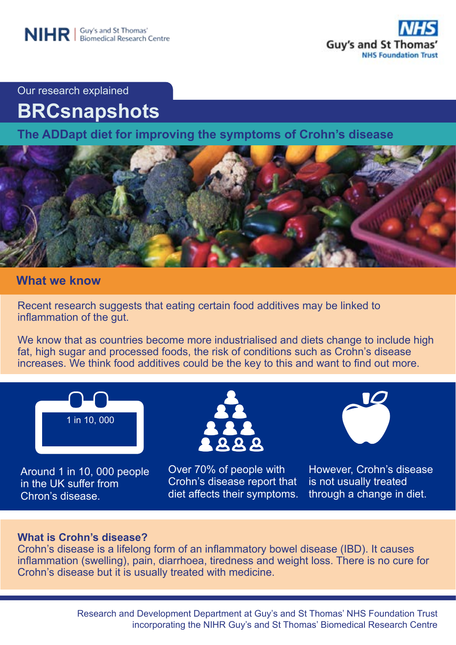

Our research explained

# **BRCsnapshots**

**The ADDapt diet for improving the symptoms of Crohn's disease** 



# **What we know**

Recent research suggests that eating certain food additives may be linked to inflammation of the gut.

We know that as countries become more industrialised and diets change to include high fat, high sugar and processed foods, the risk of conditions such as Crohn's disease increases. We think food additives could be the key to this and want to find out more.



Around 1 in 10, 000 people in the UK suffer from Chron's disease.



Over 70% of people with Crohn's disease report that diet affects their symptoms.



However, Crohn's disease is not usually treated through a change in diet.

## **What is Crohn's disease?**

Crohn's disease is a lifelong form of an inflammatory bowel disease (IBD). It causes inflammation (swelling), pain, diarrhoea, tiredness and weight loss. There is no cure for Crohn's disease but it is usually treated with medicine.

> Research and Development Department at Guy's and St Thomas' NHS Foundation Trust incorporating the NIHR Guy's and St Thomas' Biomedical Research Centre